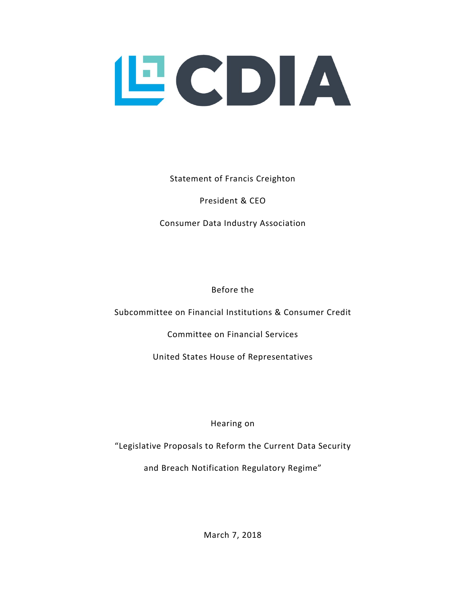

Statement of Francis Creighton

President & CEO

Consumer Data Industry Association

Before the

Subcommittee on Financial Institutions & Consumer Credit

Committee on Financial Services

United States House of Representatives

Hearing on

"Legislative Proposals to Reform the Current Data Security

and Breach Notification Regulatory Regime"

March 7, 2018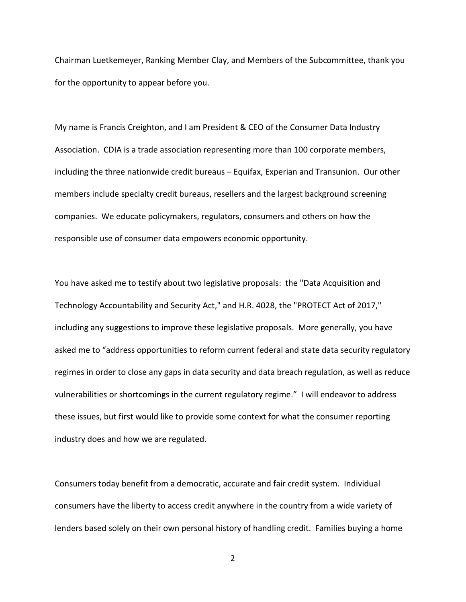Chairman Luetkemeyer, Ranking Member Clay, and Members of the Subcommittee, thank you for the opportunity to appear before you.

My name is Francis Creighton, and I am President & CEO of the Consumer Data Industry Association. CDIA is a trade association representing more than 100 corporate members, including the three nationwide credit bureaus – Equifax, Experian and Transunion. Our other members include specialty credit bureaus, resellers and the largest background screening companies. We educate policymakers, regulators, consumers and others on how the responsible use of consumer data empowers economic opportunity.

You have asked me to testify about two legislative proposals: the "Data Acquisition and Technology Accountability and Security Act," and H.R. 4028, the "PROTECT Act of 2017," including any suggestions to improve these legislative proposals. More generally, you have asked me to "address opportunities to reform current federal and state data security regulatory regimes in order to close any gaps in data security and data breach regulation, as well as reduce vulnerabilities or shortcomings in the current regulatory regime." I will endeavor to address these issues, but first would like to provide some context for what the consumer reporting industry does and how we are regulated.

Consumers today benefit from a democratic, accurate and fair credit system. Individual consumers have the liberty to access credit anywhere in the country from a wide variety of lenders based solely on their own personal history of handling credit. Families buying a home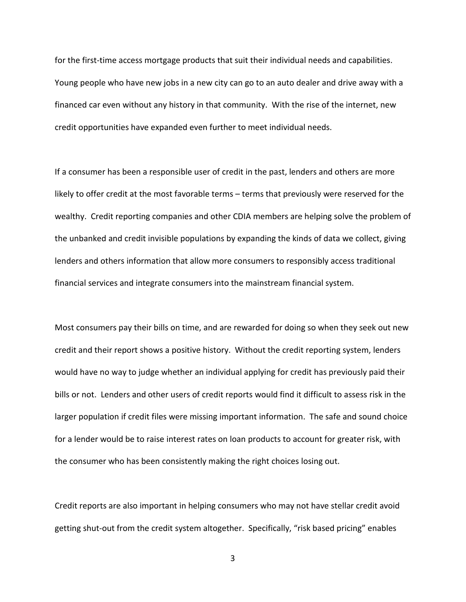for the first-time access mortgage products that suit their individual needs and capabilities. Young people who have new jobs in a new city can go to an auto dealer and drive away with a financed car even without any history in that community. With the rise of the internet, new credit opportunities have expanded even further to meet individual needs.

If a consumer has been a responsible user of credit in the past, lenders and others are more likely to offer credit at the most favorable terms – terms that previously were reserved for the wealthy. Credit reporting companies and other CDIA members are helping solve the problem of the unbanked and credit invisible populations by expanding the kinds of data we collect, giving lenders and others information that allow more consumers to responsibly access traditional financial services and integrate consumers into the mainstream financial system.

Most consumers pay their bills on time, and are rewarded for doing so when they seek out new credit and their report shows a positive history. Without the credit reporting system, lenders would have no way to judge whether an individual applying for credit has previously paid their bills or not. Lenders and other users of credit reports would find it difficult to assess risk in the larger population if credit files were missing important information. The safe and sound choice for a lender would be to raise interest rates on loan products to account for greater risk, with the consumer who has been consistently making the right choices losing out.

Credit reports are also important in helping consumers who may not have stellar credit avoid getting shut-out from the credit system altogether. Specifically, "risk based pricing" enables

3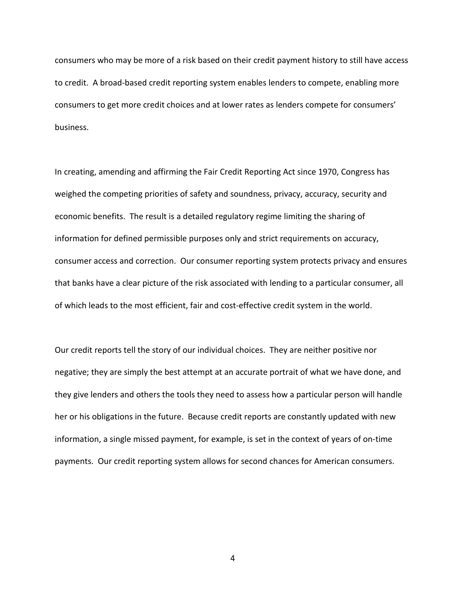consumers who may be more of a risk based on their credit payment history to still have access to credit. A broad-based credit reporting system enables lenders to compete, enabling more consumers to get more credit choices and at lower rates as lenders compete for consumers' business.

In creating, amending and affirming the Fair Credit Reporting Act since 1970, Congress has weighed the competing priorities of safety and soundness, privacy, accuracy, security and economic benefits. The result is a detailed regulatory regime limiting the sharing of information for defined permissible purposes only and strict requirements on accuracy, consumer access and correction. Our consumer reporting system protects privacy and ensures that banks have a clear picture of the risk associated with lending to a particular consumer, all of which leads to the most efficient, fair and cost-effective credit system in the world.

Our credit reports tell the story of our individual choices. They are neither positive nor negative; they are simply the best attempt at an accurate portrait of what we have done, and they give lenders and others the tools they need to assess how a particular person will handle her or his obligations in the future. Because credit reports are constantly updated with new information, a single missed payment, for example, is set in the context of years of on-time payments. Our credit reporting system allows for second chances for American consumers.

4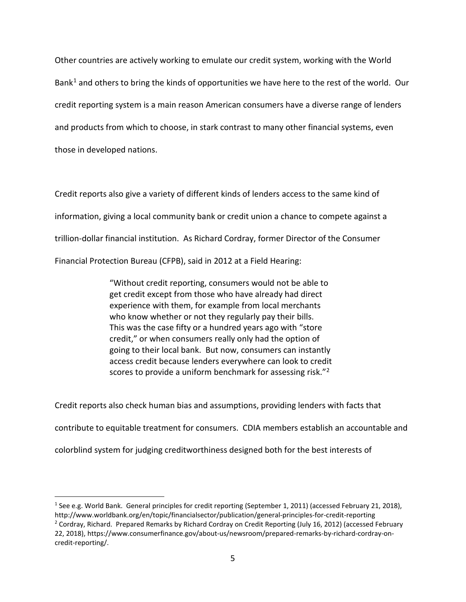Other countries are actively working to emulate our credit system, working with the World Bank<sup>[1](#page-4-0)</sup> and others to bring the kinds of opportunities we have here to the rest of the world. Our credit reporting system is a main reason American consumers have a diverse range of lenders and products from which to choose, in stark contrast to many other financial systems, even those in developed nations.

Credit reports also give a variety of different kinds of lenders access to the same kind of information, giving a local community bank or credit union a chance to compete against a trillion-dollar financial institution. As Richard Cordray, former Director of the Consumer Financial Protection Bureau (CFPB), said in 2012 at a Field Hearing:

> "Without credit reporting, consumers would not be able to get credit except from those who have already had direct experience with them, for example from local merchants who know whether or not they regularly pay their bills. This was the case fifty or a hundred years ago with "store credit," or when consumers really only had the option of going to their local bank. But now, consumers can instantly access credit because lenders everywhere can look to credit scores to provide a uniform benchmark for assessing risk."<sup>[2](#page-4-1)</sup>

Credit reports also check human bias and assumptions, providing lenders with facts that contribute to equitable treatment for consumers. CDIA members establish an accountable and colorblind system for judging creditworthiness designed both for the best interests of

<span id="page-4-1"></span><span id="page-4-0"></span><sup>&</sup>lt;sup>1</sup> See e.g. World Bank. General principles for credit reporting (September 1, 2011) (accessed February 21, 2018), http://www.worldbank.org/en/topic/financialsector/publication/general-principles-for-credit-reporting <sup>2</sup> Cordray, Richard. Prepared Remarks by Richard Cordray on Credit Reporting (July 16, 2012) (accessed February 22, 2018), https://www.consumerfinance.gov/about-us/newsroom/prepared-remarks-by-richard-cordray-oncredit-reporting/.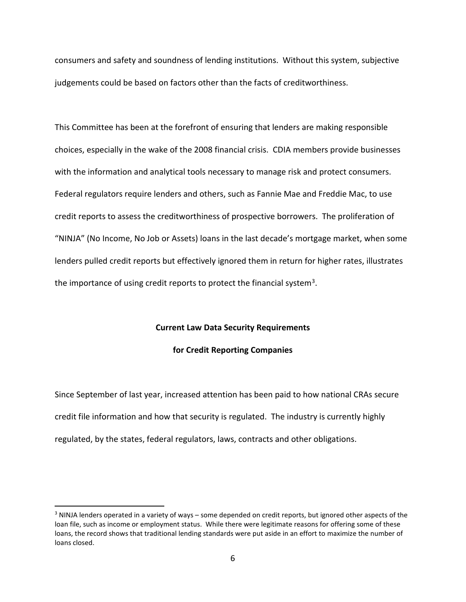consumers and safety and soundness of lending institutions. Without this system, subjective judgements could be based on factors other than the facts of creditworthiness.

This Committee has been at the forefront of ensuring that lenders are making responsible choices, especially in the wake of the 2008 financial crisis. CDIA members provide businesses with the information and analytical tools necessary to manage risk and protect consumers. Federal regulators require lenders and others, such as Fannie Mae and Freddie Mac, to use credit reports to assess the creditworthiness of prospective borrowers. The proliferation of "NINJA" (No Income, No Job or Assets) loans in the last decade's mortgage market, when some lenders pulled credit reports but effectively ignored them in return for higher rates, illustrates the importance of using credit reports to protect the financial system<sup>[3](#page-5-0)</sup>.

### **Current Law Data Security Requirements**

**for Credit Reporting Companies**

Since September of last year, increased attention has been paid to how national CRAs secure credit file information and how that security is regulated. The industry is currently highly regulated, by the states, federal regulators, laws, contracts and other obligations.

<span id="page-5-0"></span><sup>3</sup> NINJA lenders operated in a variety of ways – some depended on credit reports, but ignored other aspects of the loan file, such as income or employment status. While there were legitimate reasons for offering some of these loans, the record shows that traditional lending standards were put aside in an effort to maximize the number of loans closed.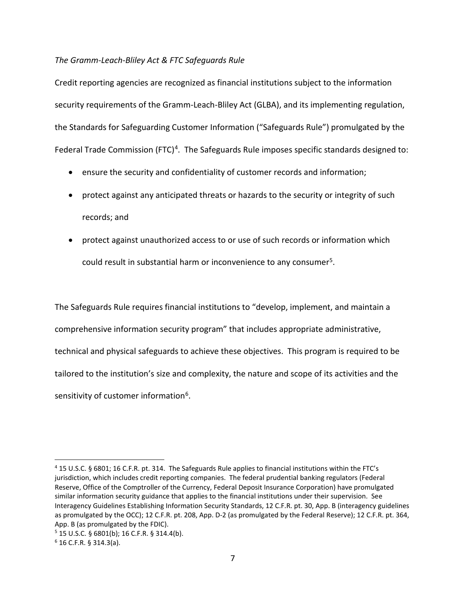## *The Gramm-Leach-Bliley Act & FTC Safeguards Rule*

Credit reporting agencies are recognized as financial institutions subject to the information security requirements of the Gramm-Leach-Bliley Act (GLBA), and its implementing regulation, the Standards for Safeguarding Customer Information ("Safeguards Rule") promulgated by the Federal Trade Commission (FTC)<sup>4</sup>. The Safeguards Rule imposes specific standards designed to:

- ensure the security and confidentiality of customer records and information;
- protect against any anticipated threats or hazards to the security or integrity of such records; and
- protect against unauthorized access to or use of such records or information which could result in substantial harm or inconvenience to any consumer<sup>[5](#page-6-1)</sup>.

The Safeguards Rule requires financial institutions to "develop, implement, and maintain a comprehensive information security program" that includes appropriate administrative, technical and physical safeguards to achieve these objectives. This program is required to be tailored to the institution's size and complexity, the nature and scope of its activities and the sensitivity of customer information<sup>6</sup>.

<span id="page-6-0"></span><sup>4</sup> 15 U.S.C. § 6801; 16 C.F.R. pt. 314. The Safeguards Rule applies to financial institutions within the FTC's jurisdiction, which includes credit reporting companies. The federal prudential banking regulators (Federal Reserve, Office of the Comptroller of the Currency, Federal Deposit Insurance Corporation) have promulgated similar information security guidance that applies to the financial institutions under their supervision. See Interagency Guidelines Establishing Information Security Standards, 12 C.F.R. pt. 30, App. B (interagency guidelines as promulgated by the OCC); 12 C.F.R. pt. 208, App. D-2 (as promulgated by the Federal Reserve); 12 C.F.R. pt. 364, App. B (as promulgated by the FDIC).

<span id="page-6-1"></span> $5$  15 U.S.C. § 6801(b); 16 C.F.R. § 314.4(b).

<span id="page-6-2"></span> $6$  16 C.F.R. § 314.3(a).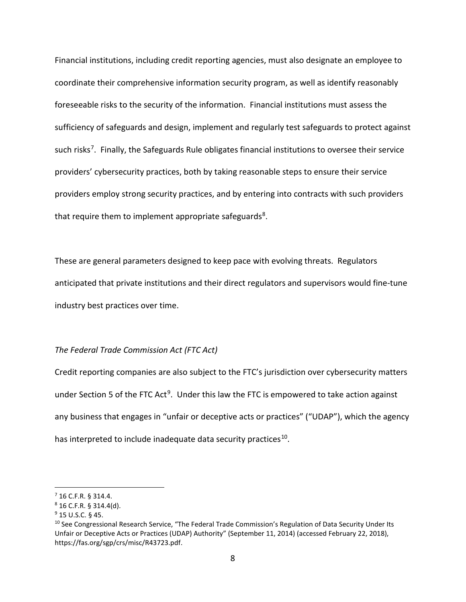Financial institutions, including credit reporting agencies, must also designate an employee to coordinate their comprehensive information security program, as well as identify reasonably foreseeable risks to the security of the information. Financial institutions must assess the sufficiency of safeguards and design, implement and regularly test safeguards to protect against such risks<sup>[7](#page-7-0)</sup>. Finally, the Safeguards Rule obligates financial institutions to oversee their service providers' cybersecurity practices, both by taking reasonable steps to ensure their service providers employ strong security practices, and by entering into contracts with such providers that require them to implement appropriate safeguards<sup>8</sup>.

These are general parameters designed to keep pace with evolving threats. Regulators anticipated that private institutions and their direct regulators and supervisors would fine-tune industry best practices over time.

## *The Federal Trade Commission Act (FTC Act)*

Credit reporting companies are also subject to the FTC's jurisdiction over cybersecurity matters under Section 5 of the FTC Act<sup>[9](#page-7-2)</sup>. Under this law the FTC is empowered to take action against any business that engages in "unfair or deceptive acts or practices" ("UDAP"), which the agency has interpreted to include inadequate data security practices<sup>10</sup>.

<span id="page-7-0"></span><sup>7</sup> 16 C.F.R. § 314.4.

<span id="page-7-1"></span> $8$  16 C.F.R. § 314.4(d).

<span id="page-7-2"></span><sup>9</sup> 15 U.S.C. § 45.

<span id="page-7-3"></span><sup>&</sup>lt;sup>10</sup> See Congressional Research Service, "The Federal Trade Commission's Regulation of Data Security Under Its Unfair or Deceptive Acts or Practices (UDAP) Authority" (September 11, 2014) (accessed February 22, 2018), https://fas.org/sgp/crs/misc/R43723.pdf.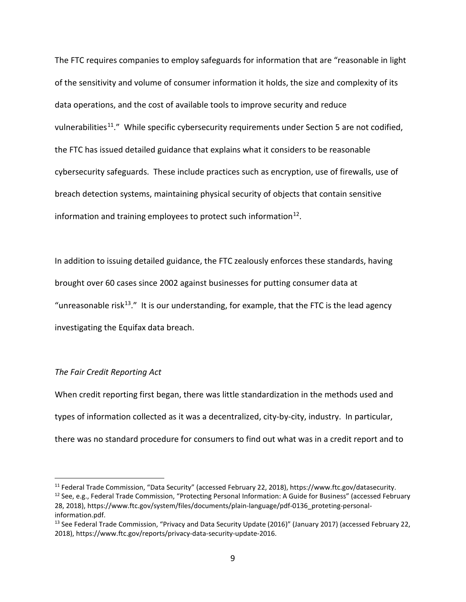The FTC requires companies to employ safeguards for information that are "reasonable in light of the sensitivity and volume of consumer information it holds, the size and complexity of its data operations, and the cost of available tools to improve security and reduce vulnerabilities<sup>[11](#page-8-0)</sup>." While specific cybersecurity requirements under Section 5 are not codified, the FTC has issued detailed guidance that explains what it considers to be reasonable cybersecurity safeguards. These include practices such as encryption, use of firewalls, use of breach detection systems, maintaining physical security of objects that contain sensitive information and training employees to protect such information<sup>[12](#page-8-1)</sup>.

In addition to issuing detailed guidance, the FTC zealously enforces these standards, having brought over 60 cases since 2002 against businesses for putting consumer data at "unreasonable risk<sup>[13](#page-8-2)</sup>." It is our understanding, for example, that the FTC is the lead agency investigating the Equifax data breach.

## *The Fair Credit Reporting Act*

 $\overline{a}$ 

When credit reporting first began, there was little standardization in the methods used and types of information collected as it was a decentralized, city-by-city, industry. In particular, there was no standard procedure for consumers to find out what was in a credit report and to

<span id="page-8-0"></span><sup>11</sup> Federal Trade Commission, "Data Security" (accessed February 22, 2018), https://www.ftc.gov/datasecurity.

<span id="page-8-1"></span><sup>&</sup>lt;sup>12</sup> See, e.g., Federal Trade Commission, "Protecting Personal Information: A Guide for Business" (accessed February 28, 2018), https://www.ftc.gov/system/files/documents/plain-language/pdf-0136\_proteting-personalinformation.pdf.

<span id="page-8-2"></span><sup>&</sup>lt;sup>13</sup> See Federal Trade Commission, "Privacy and Data Security Update (2016)" (January 2017) (accessed February 22, 2018), https://www.ftc.gov/reports/privacy-data-security-update-2016.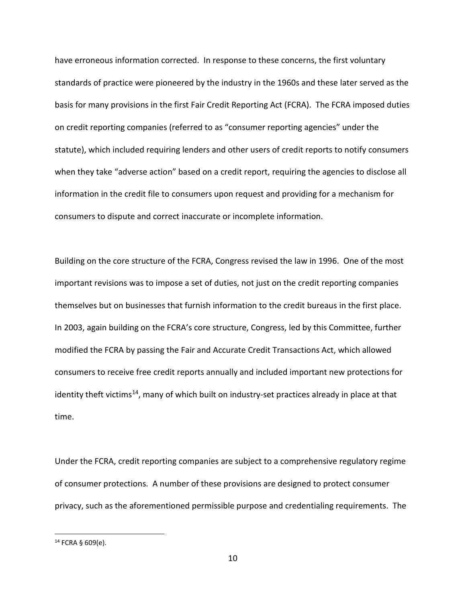have erroneous information corrected. In response to these concerns, the first voluntary standards of practice were pioneered by the industry in the 1960s and these later served as the basis for many provisions in the first Fair Credit Reporting Act (FCRA). The FCRA imposed duties on credit reporting companies (referred to as "consumer reporting agencies" under the statute), which included requiring lenders and other users of credit reports to notify consumers when they take "adverse action" based on a credit report, requiring the agencies to disclose all information in the credit file to consumers upon request and providing for a mechanism for consumers to dispute and correct inaccurate or incomplete information.

Building on the core structure of the FCRA, Congress revised the law in 1996. One of the most important revisions was to impose a set of duties, not just on the credit reporting companies themselves but on businesses that furnish information to the credit bureaus in the first place. In 2003, again building on the FCRA's core structure, Congress, led by this Committee, further modified the FCRA by passing the Fair and Accurate Credit Transactions Act, which allowed consumers to receive free credit reports annually and included important new protections for identity theft victims<sup>14</sup>, many of which built on industry-set practices already in place at that time.

Under the FCRA, credit reporting companies are subject to a comprehensive regulatory regime of consumer protections. A number of these provisions are designed to protect consumer privacy, such as the aforementioned permissible purpose and credentialing requirements. The

<span id="page-9-0"></span> $14$  FCRA § 609(e).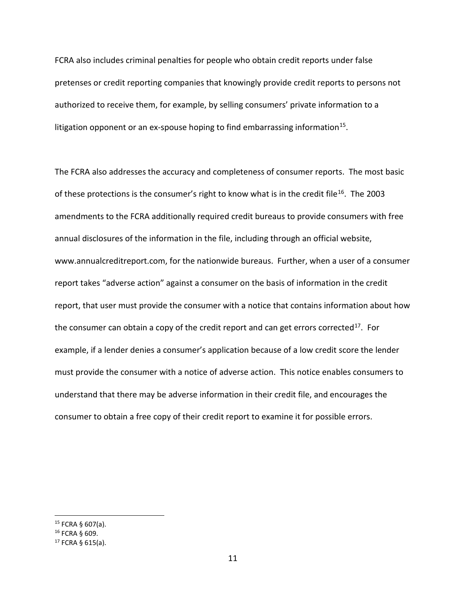FCRA also includes criminal penalties for people who obtain credit reports under false pretenses or credit reporting companies that knowingly provide credit reports to persons not authorized to receive them, for example, by selling consumers' private information to a litigation opponent or an ex-spouse hoping to find embarrassing information<sup>15</sup>.

The FCRA also addresses the accuracy and completeness of consumer reports. The most basic of these protections is the consumer's right to know what is in the credit file<sup>[16](#page-10-1)</sup>. The 2003 amendments to the FCRA additionally required credit bureaus to provide consumers with free annual disclosures of the information in the file, including through an official website, www.annualcreditreport.com, for the nationwide bureaus. Further, when a user of a consumer report takes "adverse action" against a consumer on the basis of information in the credit report, that user must provide the consumer with a notice that contains information about how the consumer can obtain a copy of the credit report and can get errors corrected<sup>[17](#page-10-2)</sup>. For example, if a lender denies a consumer's application because of a low credit score the lender must provide the consumer with a notice of adverse action. This notice enables consumers to understand that there may be adverse information in their credit file, and encourages the consumer to obtain a free copy of their credit report to examine it for possible errors.

<span id="page-10-0"></span> $15$  FCRA § 607(a).

<span id="page-10-1"></span><sup>16</sup> FCRA § 609.

<span id="page-10-2"></span> $17$  FCRA § 615(a).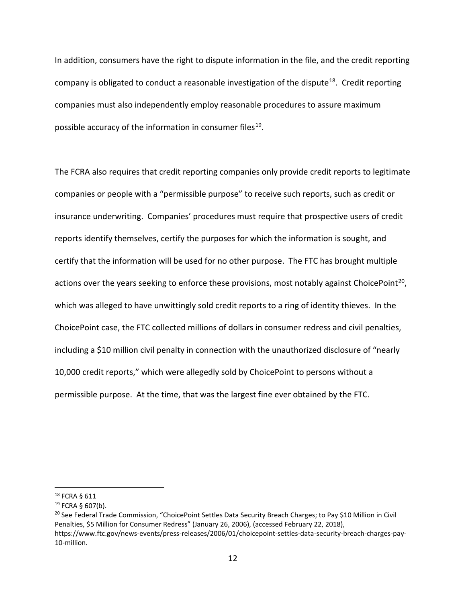In addition, consumers have the right to dispute information in the file, and the credit reporting company is obligated to conduct a reasonable investigation of the dispute<sup>18</sup>. Credit reporting companies must also independently employ reasonable procedures to assure maximum possible accuracy of the information in consumer files<sup>19</sup>.

The FCRA also requires that credit reporting companies only provide credit reports to legitimate companies or people with a "permissible purpose" to receive such reports, such as credit or insurance underwriting. Companies' procedures must require that prospective users of credit reports identify themselves, certify the purposes for which the information is sought, and certify that the information will be used for no other purpose. The FTC has brought multiple actions over the years seeking to enforce these provisions, most notably against ChoicePoint<sup>20</sup>, which was alleged to have unwittingly sold credit reports to a ring of identity thieves. In the ChoicePoint case, the FTC collected millions of dollars in consumer redress and civil penalties, including a \$10 million civil penalty in connection with the unauthorized disclosure of "nearly 10,000 credit reports," which were allegedly sold by ChoicePoint to persons without a permissible purpose. At the time, that was the largest fine ever obtained by the FTC.

<span id="page-11-0"></span><sup>18</sup> FCRA § 611

<span id="page-11-1"></span> $19$  FCRA § 607(b).

<span id="page-11-2"></span><sup>&</sup>lt;sup>20</sup> See Federal Trade Commission, "ChoicePoint Settles Data Security Breach Charges; to Pay \$10 Million in Civil Penalties, \$5 Million for Consumer Redress" (January 26, 2006), (accessed February 22, 2018), https://www.ftc.gov/news-events/press-releases/2006/01/choicepoint-settles-data-security-breach-charges-pay-10-million.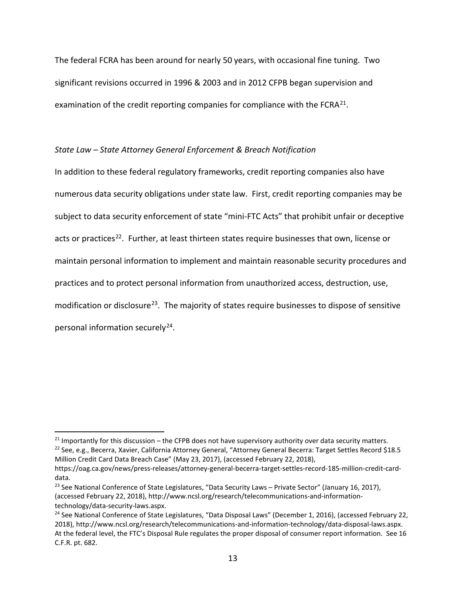The federal FCRA has been around for nearly 50 years, with occasional fine tuning. Two significant revisions occurred in 1996 & 2003 and in 2012 CFPB began supervision and examination of the credit reporting companies for compliance with the  $FCRA^{21}$ .

## *State Law – State Attorney General Enforcement & Breach Notification*

In addition to these federal regulatory frameworks, credit reporting companies also have numerous data security obligations under state law. First, credit reporting companies may be subject to data security enforcement of state "mini-FTC Acts" that prohibit unfair or deceptive acts or practices<sup>22</sup>. Further, at least thirteen states require businesses that own, license or maintain personal information to implement and maintain reasonable security procedures and practices and to protect personal information from unauthorized access, destruction, use, modification or disclosure<sup>[23](#page-12-2)</sup>. The majority of states require businesses to dispose of sensitive personal information securely<sup>24</sup>.

<span id="page-12-1"></span><span id="page-12-0"></span> $21$  Importantly for this discussion – the CFPB does not have supervisory authority over data security matters. <sup>22</sup> See, e.g., Becerra, Xavier, California Attorney General, "Attorney General Becerra: Target Settles Record \$18.5

Million Credit Card Data Breach Case" (May 23, 2017), (accessed February 22, 2018), https://oag.ca.gov/news/press-releases/attorney-general-becerra-target-settles-record-185-million-credit-carddata.

<span id="page-12-2"></span><sup>&</sup>lt;sup>23</sup> See National Conference of State Legislatures, "Data Security Laws – Private Sector" (January 16, 2017), (accessed February 22, 2018), http://www.ncsl.org/research/telecommunications-and-informationtechnology/data-security-laws.aspx.

<span id="page-12-3"></span><sup>&</sup>lt;sup>24</sup> See National Conference of State Legislatures, "Data Disposal Laws" (December 1, 2016), (accessed February 22, 2018), http://www.ncsl.org/research/telecommunications-and-information-technology/data-disposal-laws.aspx. At the federal level, the FTC's Disposal Rule regulates the proper disposal of consumer report information. See 16 C.F.R. pt. 682.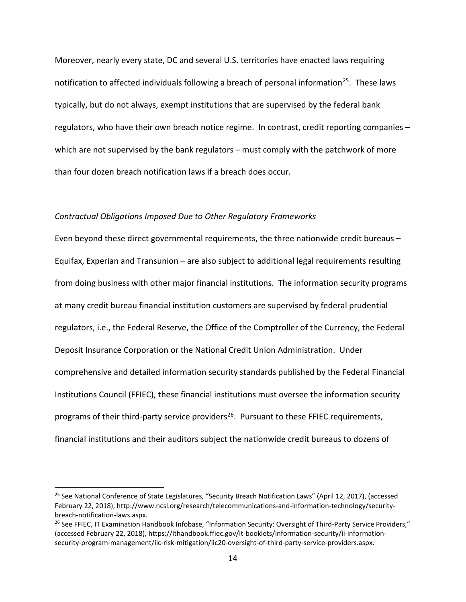Moreover, nearly every state, DC and several U.S. territories have enacted laws requiring notification to affected individuals following a breach of personal information<sup>25</sup>. These laws typically, but do not always, exempt institutions that are supervised by the federal bank regulators, who have their own breach notice regime. In contrast, credit reporting companies – which are not supervised by the bank regulators – must comply with the patchwork of more than four dozen breach notification laws if a breach does occur.

#### *Contractual Obligations Imposed Due to Other Regulatory Frameworks*

Even beyond these direct governmental requirements, the three nationwide credit bureaus – Equifax, Experian and Transunion – are also subject to additional legal requirements resulting from doing business with other major financial institutions. The information security programs at many credit bureau financial institution customers are supervised by federal prudential regulators, i.e., the Federal Reserve, the Office of the Comptroller of the Currency, the Federal Deposit Insurance Corporation or the National Credit Union Administration. Under comprehensive and detailed information security standards published by the Federal Financial Institutions Council (FFIEC), these financial institutions must oversee the information security programs of their third-party service providers<sup>[26](#page-13-1)</sup>. Pursuant to these FFIEC requirements, financial institutions and their auditors subject the nationwide credit bureaus to dozens of

<span id="page-13-0"></span><sup>&</sup>lt;sup>25</sup> See National Conference of State Legislatures, "Security Breach Notification Laws" (April 12, 2017), (accessed February 22, 2018), http://www.ncsl.org/research/telecommunications-and-information-technology/securitybreach-notification-laws.aspx.

<span id="page-13-1"></span><sup>&</sup>lt;sup>26</sup> See FFIEC, IT Examination Handbook Infobase, "Information Security: Oversight of Third-Party Service Providers," (accessed February 22, 2018), https://ithandbook.ffiec.gov/it-booklets/information-security/ii-informationsecurity-program-management/iic-risk-mitigation/iic20-oversight-of-third-party-service-providers.aspx.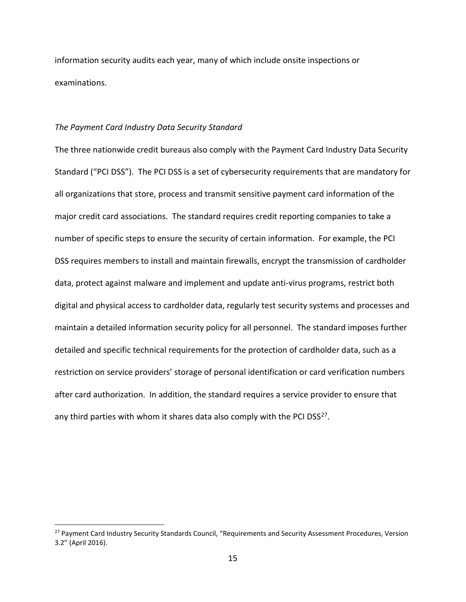information security audits each year, many of which include onsite inspections or examinations.

## *The Payment Card Industry Data Security Standard*

 $\overline{a}$ 

The three nationwide credit bureaus also comply with the Payment Card Industry Data Security Standard ("PCI DSS"). The PCI DSS is a set of cybersecurity requirements that are mandatory for all organizations that store, process and transmit sensitive payment card information of the major credit card associations. The standard requires credit reporting companies to take a number of specific steps to ensure the security of certain information. For example, the PCI DSS requires members to install and maintain firewalls, encrypt the transmission of cardholder data, protect against malware and implement and update anti-virus programs, restrict both digital and physical access to cardholder data, regularly test security systems and processes and maintain a detailed information security policy for all personnel. The standard imposes further detailed and specific technical requirements for the protection of cardholder data, such as a restriction on service providers' storage of personal identification or card verification numbers after card authorization. In addition, the standard requires a service provider to ensure that any third parties with whom it shares data also comply with the PCI DSS<sup>[27](#page-14-0)</sup>.

<span id="page-14-0"></span><sup>&</sup>lt;sup>27</sup> Payment Card Industry Security Standards Council, "Requirements and Security Assessment Procedures, Version 3.2" (April 2016).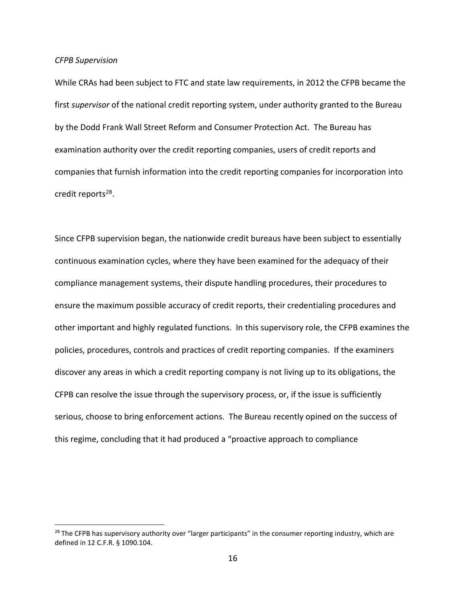#### *CFPB Supervision*

 $\overline{a}$ 

While CRAs had been subject to FTC and state law requirements, in 2012 the CFPB became the first *supervisor* of the national credit reporting system, under authority granted to the Bureau by the Dodd Frank Wall Street Reform and Consumer Protection Act. The Bureau has examination authority over the credit reporting companies, users of credit reports and companies that furnish information into the credit reporting companies for incorporation into credit reports<sup>[28](#page-15-0)</sup>.

Since CFPB supervision began, the nationwide credit bureaus have been subject to essentially continuous examination cycles, where they have been examined for the adequacy of their compliance management systems, their dispute handling procedures, their procedures to ensure the maximum possible accuracy of credit reports, their credentialing procedures and other important and highly regulated functions. In this supervisory role, the CFPB examines the policies, procedures, controls and practices of credit reporting companies. If the examiners discover any areas in which a credit reporting company is not living up to its obligations, the CFPB can resolve the issue through the supervisory process, or, if the issue is sufficiently serious, choose to bring enforcement actions. The Bureau recently opined on the success of this regime, concluding that it had produced a "proactive approach to compliance

<span id="page-15-0"></span><sup>&</sup>lt;sup>28</sup> The CFPB has supervisory authority over "larger participants" in the consumer reporting industry, which are defined in 12 C.F.R. § 1090.104.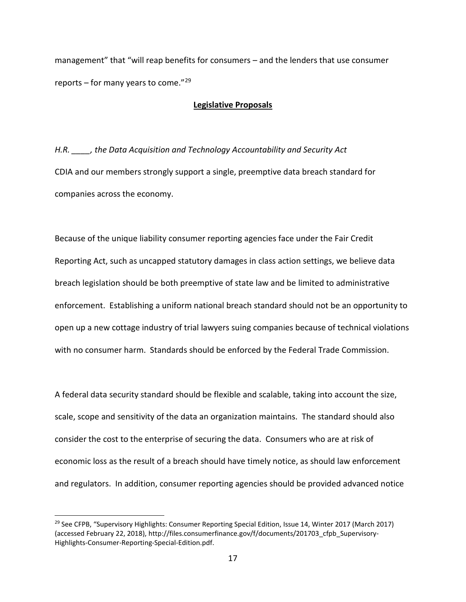management" that "will reap benefits for consumers – and the lenders that use consumer reports – for many years to come." $^{29}$  $^{29}$  $^{29}$ 

## **Legislative Proposals**

*H.R. \_\_\_\_, the Data Acquisition and Technology Accountability and Security Act* CDIA and our members strongly support a single, preemptive data breach standard for companies across the economy.

Because of the unique liability consumer reporting agencies face under the Fair Credit Reporting Act, such as uncapped statutory damages in class action settings, we believe data breach legislation should be both preemptive of state law and be limited to administrative enforcement. Establishing a uniform national breach standard should not be an opportunity to open up a new cottage industry of trial lawyers suing companies because of technical violations with no consumer harm. Standards should be enforced by the Federal Trade Commission.

A federal data security standard should be flexible and scalable, taking into account the size, scale, scope and sensitivity of the data an organization maintains. The standard should also consider the cost to the enterprise of securing the data. Consumers who are at risk of economic loss as the result of a breach should have timely notice, as should law enforcement and regulators. In addition, consumer reporting agencies should be provided advanced notice

<span id="page-16-0"></span><sup>&</sup>lt;sup>29</sup> See CFPB, "Supervisory Highlights: Consumer Reporting Special Edition, Issue 14, Winter 2017 (March 2017) (accessed February 22, 2018), http://files.consumerfinance.gov/f/documents/201703\_cfpb\_Supervisory-Highlights-Consumer-Reporting-Special-Edition.pdf.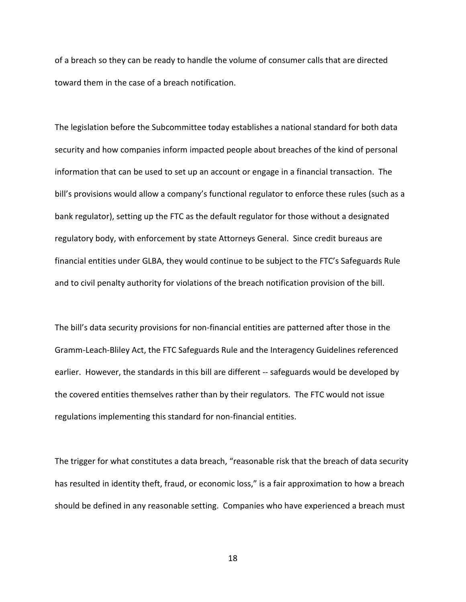of a breach so they can be ready to handle the volume of consumer calls that are directed toward them in the case of a breach notification.

The legislation before the Subcommittee today establishes a national standard for both data security and how companies inform impacted people about breaches of the kind of personal information that can be used to set up an account or engage in a financial transaction. The bill's provisions would allow a company's functional regulator to enforce these rules (such as a bank regulator), setting up the FTC as the default regulator for those without a designated regulatory body, with enforcement by state Attorneys General. Since credit bureaus are financial entities under GLBA, they would continue to be subject to the FTC's Safeguards Rule and to civil penalty authority for violations of the breach notification provision of the bill.

The bill's data security provisions for non-financial entities are patterned after those in the Gramm-Leach-Bliley Act, the FTC Safeguards Rule and the Interagency Guidelines referenced earlier. However, the standards in this bill are different -- safeguards would be developed by the covered entities themselves rather than by their regulators. The FTC would not issue regulations implementing this standard for non-financial entities.

The trigger for what constitutes a data breach, "reasonable risk that the breach of data security has resulted in identity theft, fraud, or economic loss," is a fair approximation to how a breach should be defined in any reasonable setting. Companies who have experienced a breach must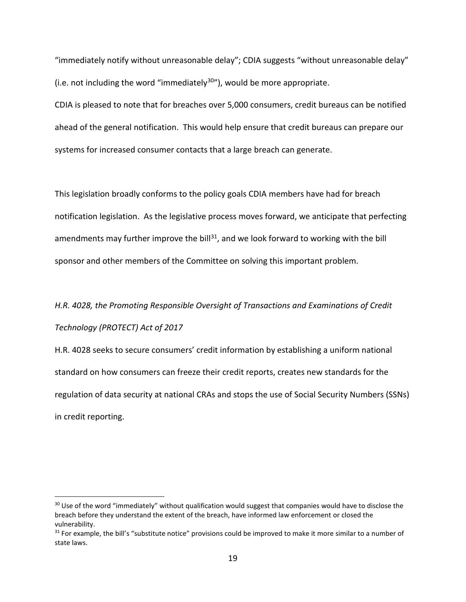"immediately notify without unreasonable delay"; CDIA suggests "without unreasonable delay" (i.e. not including the word "immediately<sup>[30](#page-18-0)"</sup>), would be more appropriate.

CDIA is pleased to note that for breaches over 5,000 consumers, credit bureaus can be notified ahead of the general notification. This would help ensure that credit bureaus can prepare our systems for increased consumer contacts that a large breach can generate.

This legislation broadly conforms to the policy goals CDIA members have had for breach notification legislation. As the legislative process moves forward, we anticipate that perfecting amendments may further improve the bill<sup>[31](#page-18-1)</sup>, and we look forward to working with the bill sponsor and other members of the Committee on solving this important problem.

# *H.R. 4028, the Promoting Responsible Oversight of Transactions and Examinations of Credit Technology (PROTECT) Act of 2017*

H.R. 4028 seeks to secure consumers' credit information by establishing a uniform national standard on how consumers can freeze their credit reports, creates new standards for the regulation of data security at national CRAs and stops the use of Social Security Numbers (SSNs) in credit reporting.

<span id="page-18-0"></span><sup>&</sup>lt;sup>30</sup> Use of the word "immediately" without qualification would suggest that companies would have to disclose the breach before they understand the extent of the breach, have informed law enforcement or closed the vulnerability.

<span id="page-18-1"></span><sup>&</sup>lt;sup>31</sup> For example, the bill's "substitute notice" provisions could be improved to make it more similar to a number of state laws.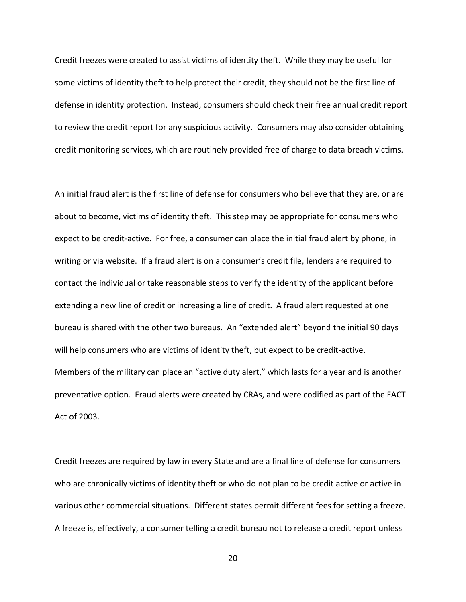Credit freezes were created to assist victims of identity theft. While they may be useful for some victims of identity theft to help protect their credit, they should not be the first line of defense in identity protection. Instead, consumers should check their free annual credit report to review the credit report for any suspicious activity. Consumers may also consider obtaining credit monitoring services, which are routinely provided free of charge to data breach victims.

An initial fraud alert is the first line of defense for consumers who believe that they are, or are about to become, victims of identity theft. This step may be appropriate for consumers who expect to be credit-active. For free, a consumer can place the initial fraud alert by phone, in writing or via website. If a fraud alert is on a consumer's credit file, lenders are required to contact the individual or take reasonable steps to verify the identity of the applicant before extending a new line of credit or increasing a line of credit. A fraud alert requested at one bureau is shared with the other two bureaus. An "extended alert" beyond the initial 90 days will help consumers who are victims of identity theft, but expect to be credit-active. Members of the military can place an "active duty alert," which lasts for a year and is another preventative option. Fraud alerts were created by CRAs, and were codified as part of the FACT Act of 2003.

Credit freezes are required by law in every State and are a final line of defense for consumers who are chronically victims of identity theft or who do not plan to be credit active or active in various other commercial situations. Different states permit different fees for setting a freeze. A freeze is, effectively, a consumer telling a credit bureau not to release a credit report unless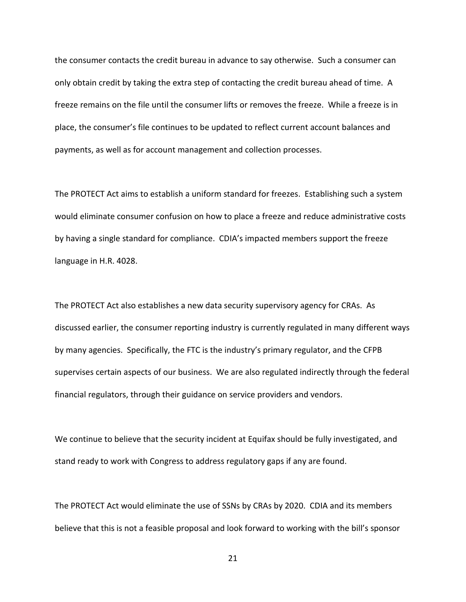the consumer contacts the credit bureau in advance to say otherwise. Such a consumer can only obtain credit by taking the extra step of contacting the credit bureau ahead of time. A freeze remains on the file until the consumer lifts or removes the freeze. While a freeze is in place, the consumer's file continues to be updated to reflect current account balances and payments, as well as for account management and collection processes.

The PROTECT Act aims to establish a uniform standard for freezes. Establishing such a system would eliminate consumer confusion on how to place a freeze and reduce administrative costs by having a single standard for compliance. CDIA's impacted members support the freeze language in H.R. 4028.

The PROTECT Act also establishes a new data security supervisory agency for CRAs. As discussed earlier, the consumer reporting industry is currently regulated in many different ways by many agencies. Specifically, the FTC is the industry's primary regulator, and the CFPB supervises certain aspects of our business. We are also regulated indirectly through the federal financial regulators, through their guidance on service providers and vendors.

We continue to believe that the security incident at Equifax should be fully investigated, and stand ready to work with Congress to address regulatory gaps if any are found.

The PROTECT Act would eliminate the use of SSNs by CRAs by 2020. CDIA and its members believe that this is not a feasible proposal and look forward to working with the bill's sponsor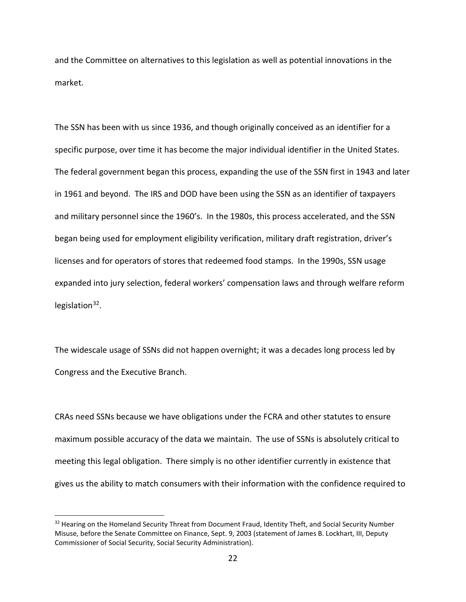and the Committee on alternatives to this legislation as well as potential innovations in the market.

The SSN has been with us since 1936, and though originally conceived as an identifier for a specific purpose, over time it has become the major individual identifier in the United States. The federal government began this process, expanding the use of the SSN first in 1943 and later in 1961 and beyond. The IRS and DOD have been using the SSN as an identifier of taxpayers and military personnel since the 1960's. In the 1980s, this process accelerated, and the SSN began being used for employment eligibility verification, military draft registration, driver's licenses and for operators of stores that redeemed food stamps. In the 1990s, SSN usage expanded into jury selection, federal workers' compensation laws and through welfare reform legislation $32$ .

The widescale usage of SSNs did not happen overnight; it was a decades long process led by Congress and the Executive Branch.

CRAs need SSNs because we have obligations under the FCRA and other statutes to ensure maximum possible accuracy of the data we maintain. The use of SSNs is absolutely critical to meeting this legal obligation. There simply is no other identifier currently in existence that gives us the ability to match consumers with their information with the confidence required to

<span id="page-21-0"></span><sup>&</sup>lt;sup>32</sup> Hearing on the Homeland Security Threat from Document Fraud, Identity Theft, and Social Security Number Misuse, before the Senate Committee on Finance, Sept. 9, 2003 (statement of James B. Lockhart, III, Deputy Commissioner of Social Security, Social Security Administration).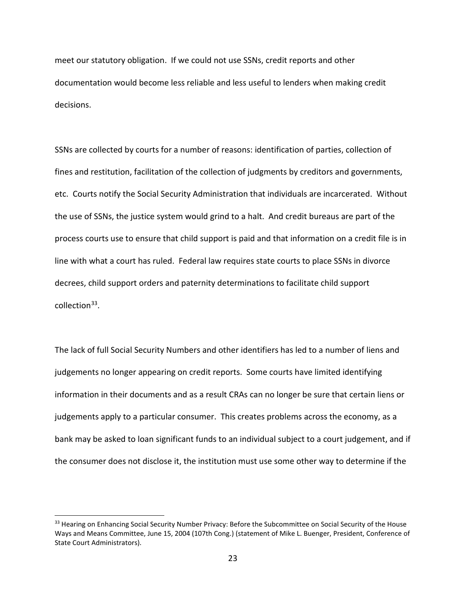meet our statutory obligation. If we could not use SSNs, credit reports and other documentation would become less reliable and less useful to lenders when making credit decisions.

SSNs are collected by courts for a number of reasons: identification of parties, collection of fines and restitution, facilitation of the collection of judgments by creditors and governments, etc. Courts notify the Social Security Administration that individuals are incarcerated. Without the use of SSNs, the justice system would grind to a halt. And credit bureaus are part of the process courts use to ensure that child support is paid and that information on a credit file is in line with what a court has ruled. Federal law requires state courts to place SSNs in divorce decrees, child support orders and paternity determinations to facilitate child support collection $33$ .

The lack of full Social Security Numbers and other identifiers has led to a number of liens and judgements no longer appearing on credit reports. Some courts have limited identifying information in their documents and as a result CRAs can no longer be sure that certain liens or judgements apply to a particular consumer. This creates problems across the economy, as a bank may be asked to loan significant funds to an individual subject to a court judgement, and if the consumer does not disclose it, the institution must use some other way to determine if the

<span id="page-22-0"></span><sup>&</sup>lt;sup>33</sup> Hearing on Enhancing Social Security Number Privacy: Before the Subcommittee on Social Security of the House Ways and Means Committee, June 15, 2004 (107th Cong.) (statement of Mike L. Buenger, President, Conference of State Court Administrators).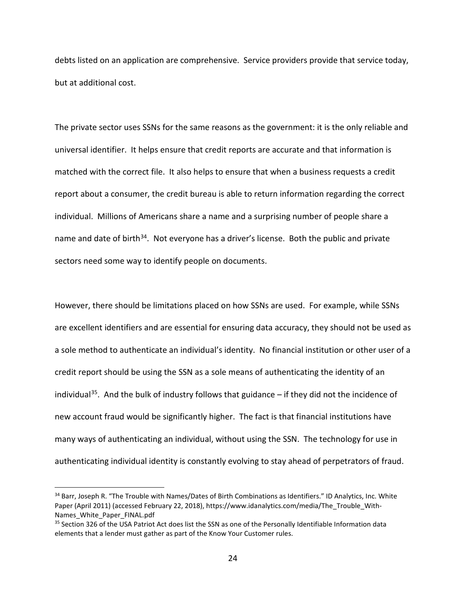debts listed on an application are comprehensive. Service providers provide that service today, but at additional cost.

The private sector uses SSNs for the same reasons as the government: it is the only reliable and universal identifier. It helps ensure that credit reports are accurate and that information is matched with the correct file. It also helps to ensure that when a business requests a credit report about a consumer, the credit bureau is able to return information regarding the correct individual. Millions of Americans share a name and a surprising number of people share a name and date of birth<sup>[34](#page-23-0)</sup>. Not everyone has a driver's license. Both the public and private sectors need some way to identify people on documents.

However, there should be limitations placed on how SSNs are used. For example, while SSNs are excellent identifiers and are essential for ensuring data accuracy, they should not be used as a sole method to authenticate an individual's identity. No financial institution or other user of a credit report should be using the SSN as a sole means of authenticating the identity of an individual<sup>[35](#page-23-1)</sup>. And the bulk of industry follows that guidance  $-$  if they did not the incidence of new account fraud would be significantly higher. The fact is that financial institutions have many ways of authenticating an individual, without using the SSN. The technology for use in authenticating individual identity is constantly evolving to stay ahead of perpetrators of fraud.

<span id="page-23-0"></span><sup>&</sup>lt;sup>34</sup> Barr, Joseph R. "The Trouble with Names/Dates of Birth Combinations as Identifiers." ID Analytics, Inc. White Paper (April 2011) (accessed February 22, 2018), https://www.idanalytics.com/media/The\_Trouble\_With-Names White Paper FINAL.pdf

<span id="page-23-1"></span><sup>&</sup>lt;sup>35</sup> Section 326 of the USA Patriot Act does list the SSN as one of the Personally Identifiable Information data elements that a lender must gather as part of the Know Your Customer rules.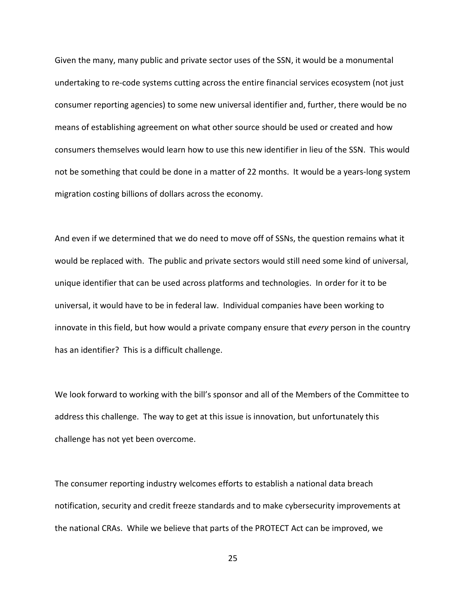Given the many, many public and private sector uses of the SSN, it would be a monumental undertaking to re-code systems cutting across the entire financial services ecosystem (not just consumer reporting agencies) to some new universal identifier and, further, there would be no means of establishing agreement on what other source should be used or created and how consumers themselves would learn how to use this new identifier in lieu of the SSN. This would not be something that could be done in a matter of 22 months. It would be a years-long system migration costing billions of dollars across the economy.

And even if we determined that we do need to move off of SSNs, the question remains what it would be replaced with. The public and private sectors would still need some kind of universal, unique identifier that can be used across platforms and technologies. In order for it to be universal, it would have to be in federal law. Individual companies have been working to innovate in this field, but how would a private company ensure that *every* person in the country has an identifier? This is a difficult challenge.

We look forward to working with the bill's sponsor and all of the Members of the Committee to address this challenge. The way to get at this issue is innovation, but unfortunately this challenge has not yet been overcome.

The consumer reporting industry welcomes efforts to establish a national data breach notification, security and credit freeze standards and to make cybersecurity improvements at the national CRAs. While we believe that parts of the PROTECT Act can be improved, we